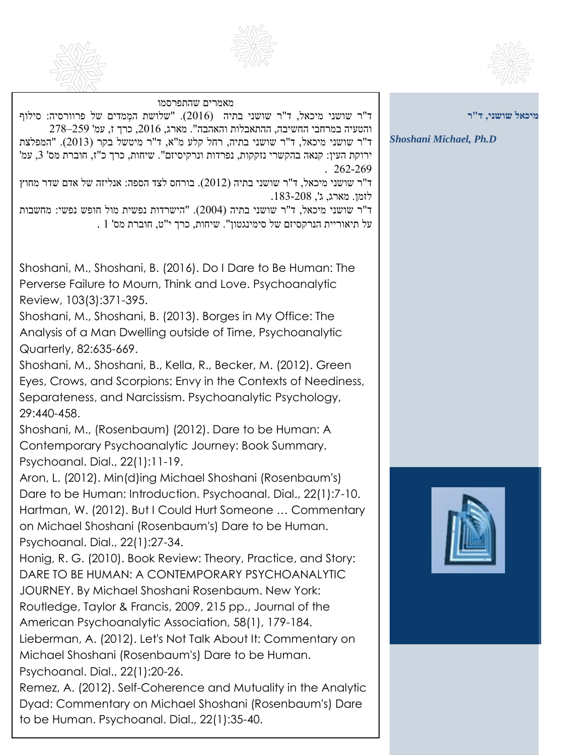





| מאמרים שהתפרסמו<br>ד"ר שושני מיכאל, ד"ר שושני בתיה (2016). "שלושת המְמדים של פרוורסיה: סילוף<br>והטעיה במרחבי החשיבה, ההתאבלות והאהבה". מארג, 2016, כרך ז, עמ' 259–278<br>ד"ר שושני מיכאל, ד"ר שושני בתיה, רחל קלע מ"א, ד"ר מיטשל בקר (2013). "המפלצת<br>ירוקת העין: קנאה בהקשרי נזקקות, נפרדות ונרקיסיזם". שיחות, כרך כ"ז, חוברת מס' 3, עמ'<br>$.262-269$<br>יר שושני מיכאל, ד"ר שושני בתיה (2012). בורחס לצד הספה: אנליזה של אדם שדר מחוץ<br>לזמן. מארג, ג', 208-183.<br>ד"ר שושני מיכאל, ד"ר שושני בתיה (2004). "הישרדות נפשית מול חופש נפשי: מחשבות                                                                                           | מיכאל שושני, ד"ר<br><b>Shoshani Michael, Ph.D</b> |
|---------------------------------------------------------------------------------------------------------------------------------------------------------------------------------------------------------------------------------------------------------------------------------------------------------------------------------------------------------------------------------------------------------------------------------------------------------------------------------------------------------------------------------------------------------------------------------------------------------------------------------------------------|---------------------------------------------------|
| . 1 על תיאוריית הנרקסיזם של סימינגטון". שיחות, כרך י"ט, חוברת מס'                                                                                                                                                                                                                                                                                                                                                                                                                                                                                                                                                                                 |                                                   |
| Shoshani, M., Shoshani, B. (2016). Do I Dare to Be Human: The<br>Perverse Failure to Mourn, Think and Love. Psychoanalytic<br>Review, 103(3):371-395.<br>Shoshani, M., Shoshani, B. (2013). Borges in My Office: The<br>Analysis of a Man Dwelling outside of Time, Psychoanalytic                                                                                                                                                                                                                                                                                                                                                                |                                                   |
| Quarterly, 82:635-669.<br>Shoshani, M., Shoshani, B., Kella, R., Becker, M. (2012). Green<br>Eyes, Crows, and Scorpions: Envy in the Contexts of Neediness,<br>Separateness, and Narcissism. Psychoanalytic Psychology,<br>29:440-458.<br>Shoshani, M., (Rosenbaum) (2012). Dare to be Human: A                                                                                                                                                                                                                                                                                                                                                   |                                                   |
| Contemporary Psychoanalytic Journey: Book Summary.<br>Psychoanal. Dial., 22(1):11-19.                                                                                                                                                                                                                                                                                                                                                                                                                                                                                                                                                             |                                                   |
| Aron, L. (2012). Min(d)ing Michael Shoshani (Rosenbaum's)<br>Dare to be Human: Introduction. Psychoanal. Dial., 22(1):7-10.<br>Hartman, W. (2012). But I Could Hurt Someone  Commentary<br>on Michael Shoshani (Rosenbaum's) Dare to be Human.<br>Psychoanal. Dial., 22(1):27-34.<br>Honig, R. G. (2010). Book Review: Theory, Practice, and Story:<br>DARE TO BE HUMAN: A CONTEMPORARY PSYCHOANALYTIC<br>JOURNEY. By Michael Shoshani Rosenbaum. New York:<br>Routledge, Taylor & Francis, 2009, 215 pp., Journal of the<br>American Psychoanalytic Association, 58(1), 179-184.<br>Lieberman, A. (2012). Let's Not Talk About It: Commentary on |                                                   |
| Michael Shoshani (Rosenbaum's) Dare to be Human.<br>Psychoanal. Dial., 22(1):20-26.<br>Remez, A. (2012). Self-Coherence and Mutuality in the Analytic                                                                                                                                                                                                                                                                                                                                                                                                                                                                                             |                                                   |

Dyad: Commentary on Michael Shoshani (Rosenbaum's) Dare

to be Human. Psychoanal. Dial., 22(1):35-40.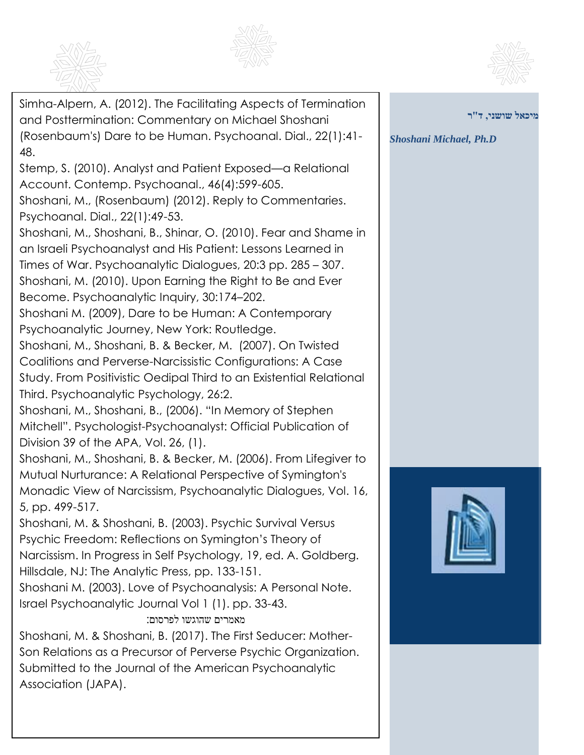





Simha-Alpern, A. (2012). The Facilitating Aspects of Termination and Posttermination: Commentary on Michael Shoshani (Rosenbaum's) Dare to be Human. Psychoanal. Dial., 22(1):41- 48. Stemp, S. (2010). Analyst and Patient Exposed—a Relational Account. Contemp. Psychoanal., 46(4):599-605. Shoshani, M., (Rosenbaum) (2012). Reply to Commentaries. Psychoanal. Dial., 22(1):49-53. Shoshani, M., Shoshani, B., Shinar, O. (2010). Fear and Shame in an Israeli Psychoanalyst and His Patient: Lessons Learned in Times of War. Psychoanalytic Dialogues, 20:3 pp. 285 – 307. Shoshani, M. (2010). Upon Earning the Right to Be and Ever Become. Psychoanalytic Inquiry, 30:174–202. Shoshani M. (2009), Dare to be Human: A Contemporary Psychoanalytic Journey, New York: Routledge. Shoshani, M., Shoshani, B. & Becker, M. (2007). On Twisted Coalitions and Perverse-Narcissistic Configurations: A Case Study. From Positivistic Oedipal Third to an Existential Relational Third. Psychoanalytic Psychology, 26:2. Shoshani, M., Shoshani, B., (2006). "In Memory of Stephen Mitchell". Psychologist-Psychoanalyst: Official Publication of Division 39 of the APA, Vol. 26, (1). Shoshani, M., Shoshani, B. & Becker, M. (2006). From Lifegiver to Mutual Nurturance: A Relational Perspective of Symington's Monadic View of Narcissism, Psychoanalytic Dialogues, Vol. 16, 5, pp. 499-517. Shoshani, M. & Shoshani, B. (2003). Psychic Survival Versus Psychic Freedom: Reflections on Symington's Theory of Narcissism. In Progress in Self Psychology, 19, ed. A. Goldberg. Hillsdale, NJ: The Analytic Press, pp. 133-151. Shoshani M. (2003). Love of Psychoanalysis: A Personal Note. Israel Psychoanalytic Journal Vol 1 (1). pp. 33-43. מאמרים שהוגשו לפרסום: Shoshani, M. & Shoshani, B. (2017). The First Seducer: Mother-Son Relations as a Precursor of Perverse Psychic Organization. Submitted to the Journal of the American Psychoanalytic

Association (JAPA).

**מיכאל שושני, ד"ר**

*Shoshani Michael, Ph.D*